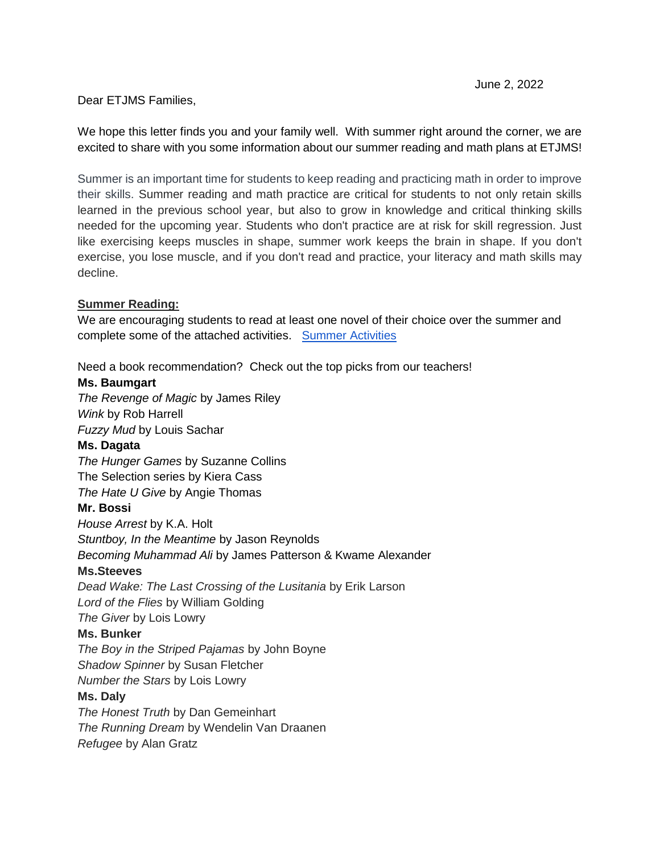## Dear ETJMS Families,

We hope this letter finds you and your family well. With summer right around the corner, we are excited to share with you some information about our summer reading and math plans at ETJMS!

Summer is an important time for students to keep reading and practicing math in order to improve their skills. Summer reading and math practice are critical for students to not only retain skills learned in the previous school year, but also to grow in knowledge and critical thinking skills needed for the upcoming year. Students who don't practice are at risk for skill regression. Just like exercising keeps muscles in shape, summer work keeps the brain in shape. If you don't exercise, you lose muscle, and if you don't read and practice, your literacy and math skills may decline.

## **Summer Reading:**

We are encouraging students to read at least one novel of their choice over the summer and complete some of the attached activities. [Summer Activities](https://docs.google.com/document/d/1cnYnYdMw99fl6JBOms20ac_WqdihSAn_YmRKsoIMAXE/edit?usp=sharing) 

Need a book recommendation? Check out the top picks from our teachers!

#### **Ms. Baumgart**

*The Revenge of Magic* by James Riley *Wink* by Rob Harrell *Fuzzy Mud* by Louis Sachar

#### **Ms. Dagata**

*The Hunger Games* by Suzanne Collins The Selection series by Kiera Cass *The Hate U Give* by Angie Thomas

#### **Mr. Bossi**

*House Arrest* by K.A. Holt *Stuntboy, In the Meantime* by Jason Reynolds *Becoming Muhammad Ali* by James Patterson & Kwame Alexander **Ms.Steeves** *Dead Wake: The Last Crossing of the Lusitania* by Erik Larson *Lord of the Flies* by William Golding *The Giver* by Lois Lowry

## **Ms. Bunker**

*The Boy in the Striped Pajamas* by John Boyne *Shadow Spinner* by Susan Fletcher *Number the Stars* by Lois Lowry

#### **Ms. Daly**

*The Honest Truth* by Dan Gemeinhart *The Running Dream* by Wendelin Van Draanen *Refugee* by Alan Gratz